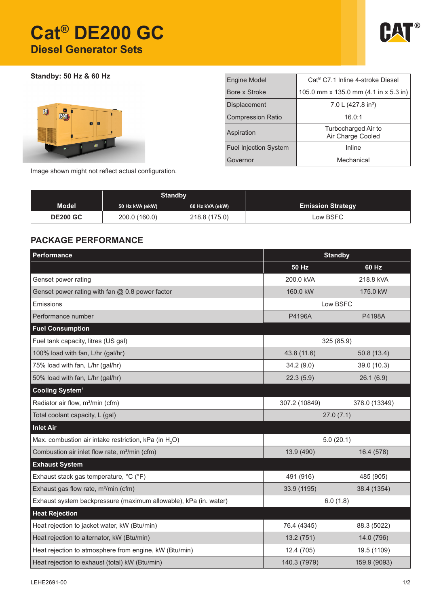# **Cat® DE200 GC Diesel Generator Sets**



**Standby: 50 Hz & 60 Hz**



| <b>Engine Model</b>          | Cat <sup>®</sup> C7.1 Inline 4-stroke Diesel |  |  |  |  |
|------------------------------|----------------------------------------------|--|--|--|--|
| Bore x Stroke                | 105.0 mm x 135.0 mm (4.1 in x 5.3 in)        |  |  |  |  |
| <b>Displacement</b>          | 7.0 L (427.8 in <sup>3</sup> )               |  |  |  |  |
| <b>Compression Ratio</b>     | 16.0:1                                       |  |  |  |  |
| Aspiration                   | Turbocharged Air to<br>Air Charge Cooled     |  |  |  |  |
| <b>Fuel Injection System</b> | Inline                                       |  |  |  |  |
| Governor                     | Mechanical                                   |  |  |  |  |

Image shown might not reflect actual configuration.

|                 | <b>Standby</b>  |                 |                          |
|-----------------|-----------------|-----------------|--------------------------|
| <b>Model</b>    | 50 Hz kVA (ekW) | 60 Hz kVA (ekW) | <b>Emission Strategy</b> |
| <b>DE200 GC</b> | 200.0 (160.0)   | 218.8 (175.0)   | Low BSFC                 |

## **PACKAGE PERFORMANCE**

| Performance                                                       |                          | <b>Standby</b> |  |  |
|-------------------------------------------------------------------|--------------------------|----------------|--|--|
|                                                                   | <b>50 Hz</b>             | 60 Hz          |  |  |
| Genset power rating                                               | 200.0 kVA                | 218.8 kVA      |  |  |
| Genset power rating with fan $@$ 0.8 power factor                 | 160.0 kW                 | 175.0 kW       |  |  |
| Emissions                                                         | Low BSFC                 |                |  |  |
| Performance number                                                | P4196A                   | P4198A         |  |  |
| <b>Fuel Consumption</b>                                           |                          |                |  |  |
| Fuel tank capacity, litres (US gal)                               | 325 (85.9)               |                |  |  |
| 100% load with fan, L/hr (gal/hr)                                 | 43.8 (11.6)              | 50.8(13.4)     |  |  |
| 75% load with fan, L/hr (gal/hr)                                  | 34.2(9.0)                | 39.0 (10.3)    |  |  |
| 50% load with fan, L/hr (gal/hr)                                  | 22.3(5.9)                | 26.1(6.9)      |  |  |
| Cooling System <sup>1</sup>                                       |                          |                |  |  |
| Radiator air flow, m <sup>3</sup> /min (cfm)                      | 307.2 (10849)            | 378.0 (13349)  |  |  |
| Total coolant capacity, L (gal)                                   | 27.0(7.1)                |                |  |  |
| <b>Inlet Air</b>                                                  |                          |                |  |  |
| Max. combustion air intake restriction, kPa (in H <sub>2</sub> O) | 5.0(20.1)                |                |  |  |
| Combustion air inlet flow rate, m <sup>3</sup> /min (cfm)         | 13.9 (490)<br>16.4 (578) |                |  |  |
| <b>Exhaust System</b>                                             |                          |                |  |  |
| Exhaust stack gas temperature, °C (°F)                            | 491 (916)                | 485 (905)      |  |  |
| Exhaust gas flow rate, m <sup>3</sup> /min (cfm)                  | 33.9 (1195)              | 38.4 (1354)    |  |  |
| Exhaust system backpressure (maximum allowable), kPa (in. water)  | 6.0(1.8)                 |                |  |  |
| <b>Heat Rejection</b>                                             |                          |                |  |  |
| Heat rejection to jacket water, kW (Btu/min)                      | 76.4 (4345)              | 88.3 (5022)    |  |  |
| Heat rejection to alternator, kW (Btu/min)                        | 13.2(751)                | 14.0 (796)     |  |  |
| Heat rejection to atmosphere from engine, kW (Btu/min)            | 12.4 (705)               | 19.5 (1109)    |  |  |
| Heat rejection to exhaust (total) kW (Btu/min)                    | 140.3 (7979)             | 159.9 (9093)   |  |  |